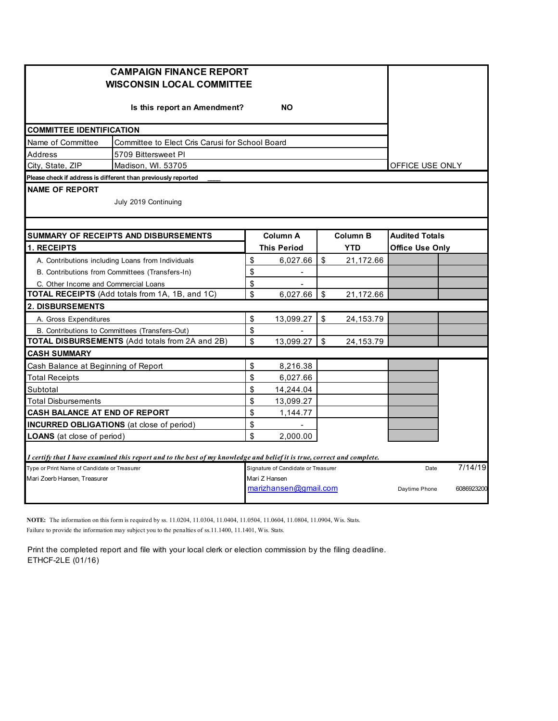|                                                   | <b>CAMPAIGN FINANCE REPORT</b><br><b>WISCONSIN LOCAL COMMITTEE</b>                                                      |                 |                                        |           |                               |                                                 |            |  |  |  |
|---------------------------------------------------|-------------------------------------------------------------------------------------------------------------------------|-----------------|----------------------------------------|-----------|-------------------------------|-------------------------------------------------|------------|--|--|--|
|                                                   | Is this report an Amendment?                                                                                            |                 | <b>NO</b>                              |           |                               |                                                 |            |  |  |  |
| <b>COMMITTEE IDENTIFICATION</b>                   |                                                                                                                         |                 |                                        |           |                               |                                                 |            |  |  |  |
| Name of Committee                                 | Committee to Elect Cris Carusi for School Board                                                                         |                 |                                        |           |                               |                                                 |            |  |  |  |
| Address                                           | 5709 Bittersweet PI                                                                                                     |                 |                                        |           |                               |                                                 |            |  |  |  |
| City, State, ZIP                                  |                                                                                                                         | OFFICE USE ONLY |                                        |           |                               |                                                 |            |  |  |  |
|                                                   | Please check if address is different than previously reported                                                           |                 |                                        |           |                               |                                                 |            |  |  |  |
| <b>NAME OF REPORT</b>                             | July 2019 Continuing                                                                                                    |                 |                                        |           |                               |                                                 |            |  |  |  |
|                                                   |                                                                                                                         |                 |                                        |           |                               |                                                 |            |  |  |  |
| 1. RECEIPTS                                       | SUMMARY OF RECEIPTS AND DISBURSEMENTS                                                                                   |                 | <b>Column A</b><br><b>This Period</b>  |           | <b>Column B</b><br><b>YTD</b> | <b>Audited Totals</b><br><b>Office Use Only</b> |            |  |  |  |
| A. Contributions including Loans from Individuals | \$                                                                                                                      | 6,027.66        | \$                                     | 21,172.66 |                               |                                                 |            |  |  |  |
| B. Contributions from Committees (Transfers-In)   | \$                                                                                                                      | $\blacksquare$  |                                        |           |                               |                                                 |            |  |  |  |
| C. Other Income and Commercial Loans              |                                                                                                                         | \$              | $\blacksquare$                         |           |                               |                                                 |            |  |  |  |
|                                                   | TOTAL RECEIPTS (Add totals from 1A, 1B, and 1C)                                                                         | \$              | 6.027.66                               | \$        | 21,172.66                     |                                                 |            |  |  |  |
| <b>2. DISBURSEMENTS</b>                           |                                                                                                                         |                 |                                        |           |                               |                                                 |            |  |  |  |
| A. Gross Expenditures                             |                                                                                                                         | \$              | 13,099.27                              | \$        | 24,153.79                     |                                                 |            |  |  |  |
|                                                   | B. Contributions to Committees (Transfers-Out)                                                                          | \$              |                                        |           |                               |                                                 |            |  |  |  |
|                                                   | TOTAL DISBURSEMENTS (Add totals from 2A and 2B)                                                                         | \$              | 13,099.27                              | -\$       | 24,153.79                     |                                                 |            |  |  |  |
| <b>CASH SUMMARY</b>                               |                                                                                                                         |                 |                                        |           |                               |                                                 |            |  |  |  |
| Cash Balance at Beginning of Report               |                                                                                                                         | \$              | 8,216.38                               |           |                               |                                                 |            |  |  |  |
| <b>Total Receipts</b>                             |                                                                                                                         | \$              | 6,027.66                               |           |                               |                                                 |            |  |  |  |
| Subtotal                                          |                                                                                                                         | \$              | 14,244.04                              |           |                               |                                                 |            |  |  |  |
| Total Disbursements                               |                                                                                                                         | \$              | 13,099.27                              |           |                               |                                                 |            |  |  |  |
| CASH BALANCE AT END OF REPORT                     |                                                                                                                         | \$              | 1,144.77                               |           |                               |                                                 |            |  |  |  |
| <b>INCURRED OBLIGATIONS</b> (at close of period)  | \$                                                                                                                      |                 |                                        |           |                               |                                                 |            |  |  |  |
| <b>LOANS</b> (at close of period)                 |                                                                                                                         | \$              | 2,000.00                               |           |                               |                                                 |            |  |  |  |
|                                                   | I certify that I have examined this report and to the best of my knowledge and belief it is true, correct and complete. |                 |                                        |           |                               |                                                 |            |  |  |  |
| Type or Print Name of Candidate or Treasurer      |                                                                                                                         |                 | Signature of Candidate or Treasurer    |           |                               | Date                                            | 7/14/19    |  |  |  |
| Mari Zoerb Hansen, Treasurer                      |                                                                                                                         |                 | Mari Z Hansen<br>marizhansen@gmail.com |           |                               | Daytime Phone                                   | 6086923200 |  |  |  |

**NOTE:** The information on this form is required by ss. 11.0204, 11.0304, 11.0404, 11.0504, 11.0604, 11.0804, 11.0904, Wis. Stats. Failure to provide the information may subject you to the penalties of ss.11.1400, 11.1401, Wis. Stats.

Print the completed report and file with your local clerk or election commission by the filing deadline. ETHCF-2LE (01/16)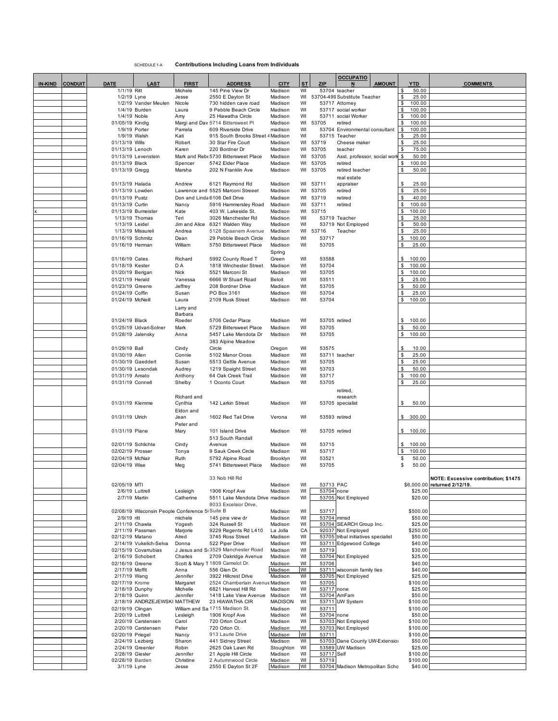SCHEDULE 1-A **Contributions Including Loans from Individuals**

|         |                |                                      |                                                |                    |                                                                    |                      |           |                         | <b>OCCUPATIO</b>                                  |          |                     |                                      |
|---------|----------------|--------------------------------------|------------------------------------------------|--------------------|--------------------------------------------------------------------|----------------------|-----------|-------------------------|---------------------------------------------------|----------|---------------------|--------------------------------------|
| IN-KIND | <b>CONDUIT</b> | <b>DATE</b>                          | <u>LAST</u>                                    | <b>FIRST</b>       | <b>ADDRESS</b>                                                     | <b>CITY</b>          | <b>ST</b> | <b>ZIP</b>              | <b>AMOUNT</b>                                     |          | YTD                 | <b>COMMENTS</b>                      |
|         |                | 1/1/19 Ritt                          |                                                | Michele            | 145 Pine View Dr                                                   | Madison              | WI        |                         | 53704 teacher                                     | \$       | 50.00               |                                      |
|         |                | 1/2/19 Lyne                          | 1/2/19 Vander Meulen                           | Jesse<br>Nicole    | 2550 E Dayton St<br>730 hidden cave road                           | Madison<br>Madison   | WI<br>WI  |                         | 53704-499 Substitute Teacher<br>53717 Attorney    | \$<br>\$ | 25.00<br>100.00     |                                      |
|         |                |                                      | 1/4/19 Burden                                  | Laura              | 9 Pebble Beach Circle                                              | Madison              | WI        |                         | 53717 social worker                               |          | 100.00              |                                      |
|         |                | 1/4/19 Noble                         |                                                | Amy                | 25 Hiawatha Circle                                                 | Madison              | WI        |                         | 53711 social Worker                               | \$       | 100.00              |                                      |
|         |                | 01/05/19 Kindig                      |                                                |                    | Margi and Dav 5714 Bittersweet PI                                  | Madison              | WI        | 53705                   | retired                                           | \$       | 100.00              |                                      |
|         |                | 1/9/19 Porter                        |                                                | Pamela             | 609 Riverside Drive                                                | madison              | WI        |                         | 53704 Environmental consultant<br>53715 Teacher   | \$       | 100.00              |                                      |
|         |                | 1/9/19 Walsh<br>01/13/19 Wills       |                                                | Kati<br>Robert     | 915 South Brooks Street 4 Madison<br>30 Star Fire Court            | Madison              | WI<br>WI  | 53719                   | Cheese maker                                      | \$       | 25.00<br>25.00      |                                      |
|         |                | 01/13/19 Lenoch                      |                                                | Karen              | 220 Bordner Dr                                                     | Madison              | WI        | 53705                   | teacher                                           |          | 75.00               |                                      |
|         |                |                                      | 01/13/19 Levenstein                            |                    | Mark and Rebt 5730 Bittersweet Place                               | Madison              | WI        | 53705                   | Asst. professor, social work                      | \$       | 50.00               |                                      |
|         |                | 01/13/19 Black                       |                                                | Spencer            | 5742 Elder Place                                                   | Madison              | WI        | 53705                   | retired                                           |          | 100.00              |                                      |
|         |                | 01/13/19 Gregg                       |                                                | Marsha             | 202 N Franklin Ave                                                 | Madison              | WI        | 53705                   | retired teacher                                   | \$       | 50.00               |                                      |
|         |                |                                      |                                                |                    |                                                                    |                      |           |                         | real estate                                       |          |                     |                                      |
|         |                | 01/13/19 Halada<br>01/13/19 Lowden   |                                                | Andrew             | 6121 Raymond Rd                                                    | Madison              | WI        | 53711                   | appraiser                                         | \$       | 25.00<br>25.00      |                                      |
|         |                | 01/13/19 Pustz                       |                                                |                    | Lawrence and 5525 Marconi Streeet<br>Don and Linda 6106 Dell Drive | Madison<br>Madison   | WI<br>WI  | 53705<br>53719          | retired<br>retired                                | \$<br>\$ | 40.00               |                                      |
|         |                | 01/13/19 Curtin                      |                                                | Nancy              | 5916 Hammersley Road                                               | Madison              | WI        | 53711                   | retired                                           | \$       | 100.00              |                                      |
|         |                |                                      | 01/13/19 Bumeister                             | Kate               | 403 W. Lakeside St.                                                | Madison              | WI        | 53715                   |                                                   | \$       | 100.00              |                                      |
|         |                |                                      | 1/13/19 Thomas                                 | Teri               | 3026 Manchester Rd                                                 | Madison              | WI        |                         | 53719 Teacher                                     | \$       | 25.00               |                                      |
|         |                | 1/13/19 Leidel                       |                                                |                    | Jim and Alice 6321 Walden Way                                      | Madison              | WI        |                         | 53719 Not Employed                                | \$       | 50.00               |                                      |
|         |                |                                      | 1/13/19 Missureli                              | Andrea             | 5128 Spaanem Avenue                                                | Madison              | WI        | 53716                   | Teacher                                           | \$       | 25.00               |                                      |
|         |                | 01/16/19 Schmitz                     |                                                | Dean               | 29 Pebble Beach Circle                                             | Madison              | WI        | 53717                   |                                                   | \$       | 100.00              |                                      |
|         |                | 01/16/19 Herman                      |                                                | William            | 5750 Bittersweet Place                                             | Madison<br>Spring    | WI        | 53705                   |                                                   |          | 25.00               |                                      |
|         |                | 01/16/19 Cates                       |                                                | Richard            | 5992 County Road T                                                 | Green                | WI        | 53588                   |                                                   |          | \$ 100.00           |                                      |
|         |                | 01/18/19 Kester                      |                                                | D A                | 1818 Winchester Street                                             | Madison              | WI        | 53704                   |                                                   | \$       | 100.00              |                                      |
|         |                | 01/20/19 Berigan                     |                                                | <b>Nick</b>        | 5521 Marconi St                                                    | Madison              | WI        | 53705                   |                                                   | \$       | 100.00              |                                      |
|         |                | 01/21/19 Herald                      |                                                | Vanessa            | 6666 W Stuart Road                                                 | Beloit               | WI        | 53511                   |                                                   | \$       | 25.00               |                                      |
|         |                | 01/23/19 Greene                      |                                                | Jeffrey            | 208 Bordner Drive                                                  | Madison              | WI        | 53705                   |                                                   | \$       | 50.00               |                                      |
|         |                | 01/24/19 Coffin                      |                                                | Susan              | PO Box 3161                                                        | Madison              | WI        | 53704                   |                                                   | \$       | 25.00               |                                      |
|         |                | 01/24/19 McNeill                     |                                                | Laura              | 2109 Rusk Street                                                   | Madison              | WI        | 53704                   |                                                   | \$       | 100.00              |                                      |
|         |                |                                      |                                                | Larry and          |                                                                    |                      |           |                         |                                                   |          |                     |                                      |
|         |                | 01/24/19 Black                       |                                                | Barbara<br>Roeder  | 5706 Cedar Place                                                   | Madison              | WI        | 53705 retired           |                                                   | \$       | 100.00              |                                      |
|         |                |                                      | 01/25/19 Udvari-Solner                         | Mark               | 5729 Bittersweet Place                                             | Madison              | WI        | 53705                   |                                                   | \$       | 50.00               |                                      |
|         |                | 01/28/19 Jalensky                    |                                                | Anna               | 5457 Lake Mendota Dr                                               | Madison              | WI        | 53705                   |                                                   | \$       | 100.00              |                                      |
|         |                |                                      |                                                |                    | 383 Alpine Meadow                                                  |                      |           |                         |                                                   |          |                     |                                      |
|         |                | 01/29/19 Ball                        |                                                | Cindy              | Circle                                                             | Oregon               | WI        | 53575                   |                                                   | \$       | 10.00               |                                      |
|         |                | 01/30/19 Allen                       |                                                | Connie             | 5102 Manor Cross                                                   | Madison              | WI        |                         | 53711 teacher                                     | \$       | 25.00               |                                      |
|         |                |                                      | 01/30/19 Gaeddert                              | Susan              | 5513 Gettle Avenue                                                 | Madison              | WI        | 53705                   |                                                   | \$       | 25.00               |                                      |
|         |                |                                      | 01/30/19 Lesondak                              | Audrey             | 1219 Spaight Street                                                | Madison              | WI<br>WI  | 53703<br>53717          |                                                   | \$<br>\$ | 50.00<br>100.00     |                                      |
|         |                | 01/31/19 Amato<br>01/31/19 Connell   |                                                | Anthony<br>Shelby  | 64 Oak Creek Trail<br>1 Oconto Court                               | Madison<br>Madison   | WI        | 53705                   |                                                   | \$       | 25.00               |                                      |
|         |                |                                      |                                                |                    |                                                                    |                      |           |                         | retired,                                          |          |                     |                                      |
|         |                |                                      |                                                | Richard and        |                                                                    |                      |           |                         | research                                          |          |                     |                                      |
|         |                | 01/31/19 Klemme                      |                                                | Cynthia            | 142 Larkin Street                                                  | Madison              | WI        |                         | 53705 specialist                                  | \$       | 50.00               |                                      |
|         |                |                                      |                                                | Eldon and          |                                                                    |                      |           |                         |                                                   |          |                     |                                      |
|         |                | 01/31/19 Ulrich                      |                                                | Jean               | 1602 Red Tail Drive                                                | Verona               | WI        | 53593 retired           |                                                   |          | \$300.00            |                                      |
|         |                |                                      |                                                | Peter and          |                                                                    |                      |           |                         |                                                   |          |                     |                                      |
|         |                | 01/31/19 Plane                       |                                                | Mary               | 101 Island Drive                                                   | Madison              | WI        | 53705 retired           |                                                   |          | \$100.00            |                                      |
|         |                | 02/01/19 Schlichte                   |                                                | Cindy              | 513 South Randall<br>Avenue                                        | Madison              | WI        | 53715                   |                                                   |          | \$100.00            |                                      |
|         |                | 02/02/19 Prosser                     |                                                | Tonya              | 9 Sauk Creek Circle                                                | Madison              | WI        | 53717                   |                                                   | \$       | 100.00              |                                      |
|         |                | 02/04/19 McNair                      |                                                | Ruth               | 5792 Alpine Road                                                   | Brooklyn             | WI        | 53521                   |                                                   | \$       | 50.00               |                                      |
|         |                | 02/04/19 Wise                        |                                                | Meg                | 5741 Bittersweet Place                                             | Madison              | WI        | 53705                   |                                                   | \$       | 50.00               |                                      |
|         |                |                                      |                                                |                    |                                                                    |                      |           |                         |                                                   |          |                     |                                      |
|         |                |                                      |                                                |                    | 33 Nob Hill Rd                                                     |                      |           |                         |                                                   |          |                     | NOTE: Excessive contribution: \$1475 |
|         |                | 02/05/19 MTI                         | 2/6/19 Luttrell                                | Lesleigh           | 1906 Kropf Ave                                                     | Madison<br>Madison   | WI<br>WI  | 53713 PAC<br>53704 none |                                                   |          | \$25.00             | \$6,000.00 returned 2/12/19.         |
|         |                | 2/7/19 Martin                        |                                                | Catherine          | 5511 Lake Mendota Drive madison                                    |                      | WI        |                         | 53705 Not Employed                                |          | \$20.00             |                                      |
|         |                |                                      |                                                |                    | 8033 Excelsior Drive,                                              |                      |           |                         |                                                   |          |                     |                                      |
|         |                |                                      | 02/08/19 Wisconsin People Conference 5(Suite B |                    |                                                                    | Madison              | WI        | 53717                   |                                                   |          | \$500.00            |                                      |
|         |                | 2/9/19 ritt                          |                                                | michele            | 145 pine view dr                                                   | Madison              | WI        | 53704 mmsd              |                                                   |          | \$50.00             |                                      |
|         |                | 2/11/19 Chawla                       | 2/11/19 Passman                                | Yogesh<br>Marjorie | 324 Russell St<br>9229 Regents Rd L410                             | Madison<br>La Jolla  | WI<br>CA  |                         | 53704 SEARCH Group Inc.<br>92037 Not Employed     |          | \$25.00<br>\$250.00 |                                      |
|         |                | 02/12/19 Matano                      |                                                | Alred              | 3745 Ross Street                                                   | Madison              | WI        |                         | 53705 tribal initiatives specialist               |          | \$50.00             |                                      |
|         |                |                                      | 2/14/19 Vukelich-Selva                         | Donna              | 522 Piper Drive                                                    | Madison              | WI        |                         | 53711 Edgewood College                            |          | \$40.00             |                                      |
|         |                |                                      | 02/15/19 Covarrubias                           |                    | J Jesus and S13529 Manchester Road                                 | Madison              | WI        | 53719                   |                                                   |          | \$30.00             |                                      |
|         |                |                                      | 2/16/19 Schobert                               | Charles            | 2709 Oakridge Avenue                                               | Madison              | WI        |                         | 53704 Not Employed                                |          | \$25.00             |                                      |
|         |                | 02/16/19 Greene                      |                                                |                    | Scott & Mary T 1809 Camelot Dr.                                    | Madison              | WI        | 53706                   |                                                   |          | \$40.00             |                                      |
|         |                | 2/17/19 Moffit<br>2/17/19 Wang       |                                                | Anna<br>Jennifer   | 556 Glen Dr.<br>3922 Hillcrest Drive                               | Madison<br>Madison   | WI<br>WI  |                         | 53711 wisconsin family ties<br>53705 Not Employed |          | \$40.00<br>\$25.00  |                                      |
|         |                | 02/17/19 Krome                       |                                                | Margaret           | 2524 Chamberlain Avenue Madison                                    |                      | WI        | 53705                   |                                                   |          | \$100.00            |                                      |
|         |                | 2/18/19 Dunphy                       |                                                | Michelle           | 6821 Harvest Hill Rd                                               | Madison              | WI        | 53717 none              |                                                   |          | \$25.00             |                                      |
|         |                | 2/18/19 Quinn                        |                                                | Jennifer           | 1418 Lake View Avenue                                              | Madison              | WI        |                         | 53704 AmFam                                       |          | \$50.00             |                                      |
|         |                |                                      | 2/18/19 ANDRZEJEWSKI MATTHEW                   |                    | 23 HIAWATHA CIR                                                    | MADISON              | WI        |                         | 53711 UW System                                   |          | \$100.00            |                                      |
|         |                | 02/19/19 Clingan<br>2/20/19 Luttrell |                                                | Lesleigh           | William and Sa 1715 Madison St.<br>1906 Kropf Ave                  | Madison<br>Madison   | WI<br>WI  | 53711<br>53704 none     |                                                   |          | \$100.00<br>\$50.00 |                                      |
|         |                |                                      | 2/20/19 Carstensen                             | Carol              | 720 Orton Court                                                    | Madison              | WI        |                         | 53703 Not Employed                                |          | \$100.00            |                                      |
|         |                |                                      | 2/20/19 Carstensen                             | Peter              | 720 Orton Ct.                                                      | Madison              | WI        |                         | 53703 Not Employed                                |          | \$100.00            |                                      |
|         |                | 02/20/19 Priegel                     |                                                | Nancy              | 913 Laurie Drive                                                   | Madison              | WI        | 53711                   |                                                   |          | \$100.00            |                                      |
|         |                |                                      | 2/24/19 Lezberg                                | Sharon             | 441 Sidney Street                                                  | Madison              | WI        |                         | 53703 Dane County UW-Extension                    |          | \$50.00             |                                      |
|         |                | 2/28/19 Giesler                      | 2/24/19 Greenler                               | Robin<br>Jennifer  | 2625 Oak Lawn Rd<br>21 Apple Hill Circle                           | Stoughton<br>Madison | WI<br>WI  | 53717 Self              | 53589 UW Madison                                  |          | \$25.00<br>\$100.00 |                                      |
|         |                | 02/28/19 Barden                      |                                                | Christine          | 2 Autumnwood Circle                                                | Madison              | WI        | 53719                   |                                                   |          | \$100.00            |                                      |
|         |                | 3/1/19 Lyne                          |                                                | Jesse              | 2550 E Dayton St 2F                                                | Madison              | WI        |                         | 53704 Madison Metropolitan Schc                   |          | \$40.00             |                                      |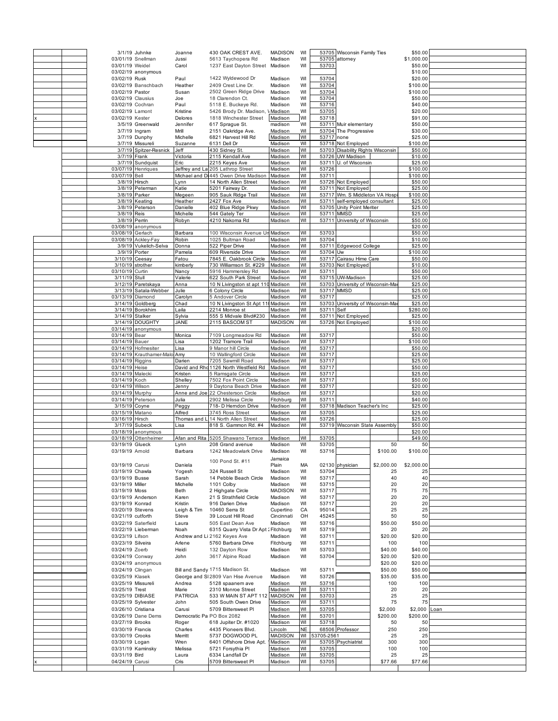|  |                   | 3/1/19 Juhnke            | Joanne                    | 430 OAK CREST AVE.                    | <b>MADISON</b> | WI        |            | 53705 Wisconsin Family Ties       |            | \$50.00    |      |
|--|-------------------|--------------------------|---------------------------|---------------------------------------|----------------|-----------|------------|-----------------------------------|------------|------------|------|
|  |                   | 03/01/19 Snellman        | Jussi                     | 5613 Taychopera Rd                    | Madison        | WI        |            | 53705 attomey                     |            | \$1,000.00 |      |
|  | 03/01/19 Weidel   |                          | Carol                     | 1237 East Dayton Street Madison       |                | WI        | 53703      |                                   |            | \$50.00    |      |
|  |                   | 03/02/19 anonymous       |                           |                                       |                |           |            |                                   |            | \$10.00    |      |
|  | 03/02/19 Rusk     |                          | Paul                      | 1422 Wyldewood Dr                     | Madison        | WI        | 53704      |                                   |            | \$20.00    |      |
|  |                   |                          | Heather                   |                                       |                | WI        | 53704      |                                   |            | \$100.00   |      |
|  |                   | 03/02/19 Banschbach      |                           | 2409 Crest Line Dr.                   | Madison        |           |            |                                   |            |            |      |
|  | 03/02/19 Pastor   |                          | Susan                     | 2502 Green Ridge Drive                | Madison        | WI        | 53704      |                                   |            | \$100.00   |      |
|  | 03/02/19 Clausius |                          | Joe                       | 18 Clarendon Ct.                      | Madison        | WI        | 53704      |                                   |            | \$50.00    |      |
|  | 03/02/19 Cochran  |                          | Paul                      | 5118 E. Buckeye Rd.                   | Madison        | WI        | 53716      |                                   |            | \$40.00    |      |
|  | 03/02/19 Lamont   |                          | Kristine                  | 5426 Brody Dr. Madison, \ Madison     |                | WI        | 53705      |                                   |            | \$20.00    |      |
|  | 03/02/19 Kester   |                          | Delores                   | 1818 Winchester Street                | Madison        | WI        | 53718      |                                   |            | \$91.00    |      |
|  |                   | 3/5/19 Greenwald         | Jennifer                  | 617 Sprague St.                       | madison        | WI        |            | 53711 Muir elementary             |            | \$50.00    |      |
|  |                   | 3/7/19 Ingram            | Mrill                     | 2151 Oakridge Ave.                    | Madison        | WI        |            | 53704 The Progressive             |            | \$30.00    |      |
|  |                   | 3/7/19 Dunphy            | Michelle                  | 6821 Harvest Hill Rd                  | Madison        | WI        | 53717 none |                                   |            | \$25.00    |      |
|  |                   | 3/7/19 Missureli         | Suzanne                   | 6131 Dell Dr                          | Madison        | WI        |            | 53718 Not Employed                |            | \$100.00   |      |
|  |                   | 3/7/19 Spitzer-Resnick   | Jeff                      | 430 Sidney St.                        | Madison        | WI        |            | 53703 Disability Rights Wisconsin |            | \$50.00    |      |
|  |                   | 3/7/19 Frank             |                           |                                       |                |           |            | 53726 UW Madison                  |            |            |      |
|  |                   |                          | Victoria                  | 2115 Kendall Ave                      | Madison        | WI        |            |                                   |            | \$10.00    |      |
|  |                   | 3/7/19 Sundquist         | Eric                      | 2215 Keyes Ave                        | Madison        | WI        |            | 53711 U. of Wisconsin             |            | \$25.00    |      |
|  |                   | 03/07/19 Henriques       |                           | Jeffrey and La 205 Lathrop Street     | Madison        | WI        | 53726      |                                   |            | \$100.00   |      |
|  | 03/07/19 Bell     |                          |                           | Michael and Di 445 Owen Drive Madison | Madison        | WI        | 53711      |                                   |            | \$100.00   |      |
|  |                   | 3/8/19 Hirsch            | Lynn                      | 14 North Allen Street                 | Madison        | WI        |            | 53726 Not Employed                |            | \$50.00    |      |
|  |                   | 3/8/19 Peterman          | Katie                     | 5201 Fairway Dr.                      | Madison        | WI        |            | 53711 Not Employed                |            | \$25.00    |      |
|  |                   | 3/8/19 Parker            | Megeen                    | 905 Sauk Ridge Trail                  | Madison        | WI        |            | 53717 Wm. S Middleton VA Hosp     |            | \$100.00   |      |
|  |                   | 3/8/19 Keating           | Heather                   | 2427 Fox Ave                          | Madison        | WI        |            | 53711 self-employed consultant    |            | \$25.00    |      |
|  |                   | 3/8/19 Peterson          | Danielle                  | 402 Blue Ridge Pkwy                   | Madison        | WI        |            | 53705 Unity Point Meriter         |            | \$25.00    |      |
|  | 3/8/19 Reis       |                          | Michelle                  | 544 Gately Ter                        | Madison        | WI        |            | 53711 MMSD                        |            | \$25.00    |      |
|  |                   | 3/8/19 Perrin            | Robyn                     | 4210 Nakoma Rd                        | Madison        | WI        |            | 53711 University of Wisconsin     |            | \$50.00    |      |
|  |                   | 03/08/19 anonymous       |                           |                                       |                |           |            |                                   |            | \$20.00    |      |
|  | 03/08/19 Gerlach  |                          | Barbara                   | 100 Wisconsin Avenue Un Madison       |                | WI        | 53703      |                                   |            | \$50.00    |      |
|  |                   | 03/08/19 Ackley-Fay      | Robin                     | 1025 Bultman Road                     | Madison        | WI        | 53704      |                                   |            | \$10.00    |      |
|  |                   | 3/9/19 Vukelich-Selva    | Donna                     | 522 Piper Drive                       | Madison        | WI        |            | 53711 Edgewood College            |            | \$25.00    |      |
|  |                   | 3/9/19 Porter            |                           | 609 Riverside Drive                   | Madison        |           | 53704 Uw   |                                   |            |            |      |
|  |                   |                          | Pamela                    |                                       |                | WI        |            |                                   |            | \$100.00   |      |
|  |                   | 3/10/19 Ceesay           | Fatou                     | 7845 E. Oakbrook Circle               | Madison        | WI        |            | 53717 Cairasu Hime Care           |            | \$50.00    |      |
|  |                   | 3/10/19 strother         | kimberly                  | 730 Williamson St. #229               | Madison        | WI        |            | 53703 Not Employed                |            | \$10.00    |      |
|  | 03/10/19 Curtin   |                          | Nancy                     | 5916 Hammersley Rd                    | Madison        | WI        | 53711      |                                   |            | \$50.00    |      |
|  | 3/11/19 Stull     |                          | Valerie                   | 622 South Park Street                 | Madison        | WI        |            | 53715 UW-Madison                  |            | \$25.00    |      |
|  |                   | 3/12/19 Paretskaya       | Anna                      | 10 N Livingston st apt 110            | Madison        | WI        |            | 53703 University of Wisconsin-Ma  |            | \$25.00    |      |
|  |                   | 3/13/19 Satala-Webber    | Julie                     | 6 Colony Circle                       | Madison        | WI        |            | 53717 MMSD                        |            | \$25.00    |      |
|  |                   | 03/13/19 Diamond         | Carolyn                   | 5 Andover Circle                      | Madison        | WI        | 53717      |                                   |            | \$25.00    |      |
|  |                   | 3/14/19 Goldberg         | Chad                      | 10 N Livingston St Apt 11 Madison     |                | WI        |            | 53703 University of Wisconsin-Ma  |            | \$25.00    |      |
|  |                   | 3/14/19 Borokhim         | Laila                     | 2214 Monroe st                        | Madison        | WI        | 53711 Self |                                   |            | \$280.00   |      |
|  |                   | 3/14/19 Stalker          | Sylvia                    | 555 S Midvale Blvd#230                | Madison        | WI        |            | 53711 Not Employed                |            | \$25.00    |      |
|  |                   | 3/14/19 DOUGHTY          | <b>JANE</b>               | 2115 BASCOM ST                        | <b>MADISON</b> | WI        |            | 53726 Not Employed                |            | \$100.00   |      |
|  |                   |                          |                           |                                       |                |           |            |                                   |            |            |      |
|  |                   | 03/14/19 anonymous       |                           |                                       |                |           |            |                                   |            | \$20.00    |      |
|  | 03/14/19 Bear     |                          | Monica                    | 7109 Longmeadow Rd                    | Madison        | WI        | 53717      |                                   |            | \$50.00    |      |
|  | 03/14/19 Bauer    |                          | Lisa                      | 1202 Tramore Trail                    | Madison        | WI        | 53717      |                                   |            | \$100.00   |      |
|  |                   | 03/14/19 Hofmesiter      | Lisa                      | 9 Manor hill Circle                   | Madison        | WI        | 53717      |                                   |            | \$50.00    |      |
|  |                   | 03/14/19 Krauthamer-Malo | Amy                       | 10 Wallingford Circle                 | Madison        | WI        | 53717      |                                   |            | \$25.00    |      |
|  | 03/14/19 Riggins  |                          | Darien                    | 7205 Sawmill Road                     | Madison        | WI        | 53717      |                                   |            | \$25.00    |      |
|  | 03/14/19 Heise    |                          |                           | David and Rhd 1126 North Westfield Rd | Madison        | WI        | 53717      |                                   |            | \$50.00    |      |
|  | 03/14/19 Malecki  |                          | Kristen                   | 5 Ramsgate Circle                     | Madison        | WI        | 53717      |                                   |            | \$25.00    |      |
|  | 03/14/19 Koch     |                          | Shelley                   | 7502 Fox Point Circle                 | Madison        | WI        | 53717      |                                   |            | \$50.00    |      |
|  |                   |                          |                           |                                       |                | WI        |            |                                   |            |            |      |
|  | 03/14/19 Wilson   |                          | Jenny                     | 9 Daytona Beach Drive                 | Madison        |           | 53717      |                                   |            | \$20.00    |      |
|  | 03/14/19 Murphy   |                          | Anne and Joe              | 22 Chesterson Circle                  | Madison        | WI        | 53717      |                                   |            | \$20.00    |      |
|  |                   | 03/14/19 Peterson        | Julia                     | 2902 Melissa Circle                   | Fitchburg      | WI        | 53711      |                                   |            | \$40.00    |      |
|  | 3/15/19 Coyne     |                          | Peggy                     | 718- D Hemdon Drive                   | Madison        | WI        |            | 53718 Madison Teacher's Inc       |            | \$25.00    |      |
|  | 03/15/19 Matano   |                          | Alfred                    | 3745 Ross Street                      | Madison        | WI        | 53705      |                                   |            | \$25.00    |      |
|  | 03/16/19 Hirsch   |                          | Thomas and                | 14 North Allen Street                 | Madison        | WI        | 53726      |                                   |            | \$25.00    |      |
|  |                   | 3/17/19 Subeck           | Lisa                      | 818 S. Gammon Rd. #4                  | Madison        | WI        |            | 53719 Wisconsin State Assembly    |            | \$50.00    |      |
|  |                   | 03/18/19 anonymous       |                           |                                       |                |           |            |                                   |            | \$20.00    |      |
|  |                   | 03/18/19 Ottenheimer     |                           | Afan and Rita 5205 Shawano Terrace    | Madison        | WI        | 53705      |                                   |            | \$49.00    |      |
|  | 03/19/19 Glueck   |                          | Lynn                      | 208 Grand avenue                      | Madison        | WI        | 53705      |                                   | 50         | 50         |      |
|  | 03/19/19 Arnold   |                          | Barbara                   | 1242 Meadowlark Drive                 | Madison        | WI        | 53716      |                                   | \$100.00   | \$100.00   |      |
|  |                   |                          |                           |                                       |                |           |            |                                   |            |            |      |
|  |                   |                          |                           | 100 Pond St. #11                      | Jamaica        |           |            |                                   |            |            |      |
|  | 03/19/19 Carusi   |                          | Daniela                   |                                       | Plain          | MA        |            | 02130 physician                   | \$2,000.00 | \$2,000.00 |      |
|  | 03/19/19 Chawla   |                          | Yogesh                    | 324 Russell St                        | Madison        | WI        | 53704      |                                   | 25         | 25         |      |
|  | 03/19/19 Busse    |                          | Sarah                     | 14 Pebble Beach Circle                | Madison        | WI        | 53717      |                                   | 40         | 40         |      |
|  | 03/19/19 Miller   |                          | Michelle                  | 1101 Colby                            | Madison        | WI        | 53715      |                                   | 20         | 20         |      |
|  | 03/19/19 Moss     |                          | Beth                      | 2 Highgate Circle                     | <b>MADISON</b> | WI        | 53717      |                                   | 75         | 75         |      |
|  |                   | 03/19/19 Anderson        | Karen                     | 21 S Strathfield Circle               | Madison        | WI        | 53717      |                                   | 20         | 20         |      |
|  | 03/19/19 Konrad   |                          | Kristin                   | 916 Darien Drive                      | Madison        | WI        | 53717      |                                   | 20         | 20         |      |
|  | 03/20/19 Stevens  |                          | Leigh & Tim               | 10460 Serra St                        | Cupertino      | CA        | 95014      |                                   | 25         | 25         |      |
|  | 03/21/19 cutforth |                          | Steve                     | 39 Locust Hill Road                   | Cincinnati     | OH        | 45245      |                                   | 50         | 50         |      |
|  |                   | 03/22/19 Saterfield      | Laura                     | 505 East Dean Ave                     | Madison        | WI        | 53716      |                                   | \$50.00    | \$50.00    |      |
|  |                   | 03/22/19 Lieberman       | Noah                      | 6315 Quarry Vista Dr Apt : Fitchburg  |                | WI        | 53719      |                                   | 20         | 20         |      |
|  |                   |                          |                           | Andrew and Li 2162 Keyes Ave          | Madison        | WI        | 53711      |                                   | \$20.00    | \$20.00    |      |
|  |                   |                          |                           |                                       |                |           |            |                                   |            |            |      |
|  | 03/23/19 Lifson   |                          |                           |                                       |                |           |            |                                   |            |            |      |
|  | 03/23/19 Silveira |                          | Arlene                    | 5760 Barbara Drive                    | Fitchburg      | WI        | 53711      |                                   | 100        | 100        |      |
|  | 03/24/19 Zoerb    |                          | Heidi                     | 132 Dayton Row                        | Madison        | WI        | 53703      |                                   | \$40.00    | \$40.00    |      |
|  | 03/24/19 Conway   |                          | John                      | 3617 Alpine Road                      | Madison        | WI        | 53704      |                                   | \$20.00    | \$20.00    |      |
|  |                   | 03/24/19 anonymous       |                           |                                       |                |           |            |                                   | \$20.00    | \$20.00    |      |
|  | 03/24/19 Clingan  |                          |                           | Bill and Sandy 1715 Madison St.       | Madison        | WI        | 53711      |                                   | \$50.00    | \$50.00    |      |
|  | 03/25/19 Klasek   |                          |                           | George and SI2809 Van Hise Avenue     | Madison        | WI        | 53726      |                                   | \$35.00    | \$35.00    |      |
|  |                   | 03/25/19 Missureli       | Andrea                    | 5128 spaanem ave                      | Madison        | WI        | 53716      |                                   | 100        | 100        |      |
|  |                   |                          | Marie                     |                                       |                | WI        |            |                                   | 20         | 20         |      |
|  | 03/25/19 Trest    |                          |                           | 2310 Monroe Street                    | Madison        |           | 53711      |                                   |            |            |      |
|  |                   | 03/25/19 DIBIASE         | <b>PATRICIA</b>           | 533 W MAIN ST APT 112                 | <b>MADISON</b> | WI        | 53703      |                                   | 25         | 25         |      |
|  |                   | 03/25/19 Sylvester       | John                      | 505 South Owen Drive                  | Madison        | WI        | 53711      |                                   | 75         | 75         |      |
|  |                   | 03/26/10 Cristiana       | Carusi                    | 5709 Bittersweet PI                   | Madison        | WI        | 53705      |                                   | \$2,000    | \$2,000    | Loan |
|  |                   | 03/26/19 Dane Dems       | Democratic Pa PO Box 2082 |                                       | Madison        | WI        | 53701      |                                   | \$200.00   | \$200.00   |      |
|  | 03/27/19 Brooks   |                          | Roger                     | 618 Jupiter Dr. #1020                 | Madison        | WI        | 53718      |                                   | 50         | 50         |      |
|  | 03/30/19 Francis  |                          | Charles                   | 4435 Pioneers Blvd.                   | Lincoln        | <b>NE</b> |            | 68506 Professor                   | 250        | 250        |      |
|  | 03/30/19 Crooks   |                          | Merritt                   | 5737 DOGWOOD PL                       | MADISON        | WI        | 3705-2561  |                                   | 25         | 25         |      |
|  |                   |                          | Wren                      | 6401 Offshore Drive Apt.              | Madison        | WI        |            | 53705 Psychiatrist                | 300        | 300        |      |
|  | 03/30/19 Logan    |                          |                           |                                       |                |           |            |                                   |            |            |      |
|  |                   | 03/31/19 Kaminsky        | Melissa                   | 5721 Forsythia Pl                     | Madison        | WI        | 53705      |                                   | 100        | 100        |      |
|  | 03/31/19 Bird     |                          | Laura                     | 6334 Landfall Dr                      | Madison        | WI        | 53705      |                                   | 25         | 25         |      |
|  | 04/24/19 Carusi   |                          | Cris                      | 5709 Bittersweet PI                   | Madison        | WI        | 53705      |                                   | \$77.66    | \$77.66    |      |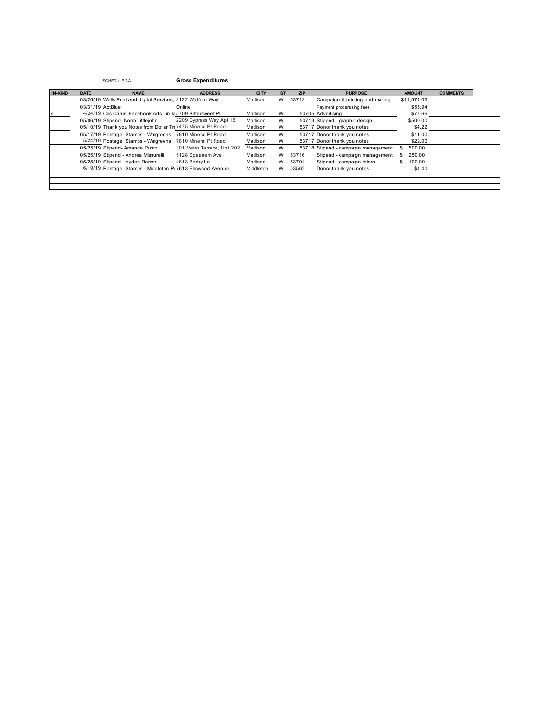| IN-KIND | <b>DATE</b>      | <b>NAME</b>                                                  | <b>ADDRESS</b>              | <b>CITY</b> | ST   | <b>ZIP</b> | <b>PURPOSE</b>                      | <b>AMOUNT</b> | <b>COMMENTS</b> |  |
|---------|------------------|--------------------------------------------------------------|-----------------------------|-------------|------|------------|-------------------------------------|---------------|-----------------|--|
|         |                  | 03/26/19 Wells Print and digital Services, 3122 Watford Way  |                             | Madison     |      | WI 53713   | Campaign lit printing and mailing   | \$11,574.05   |                 |  |
|         | 03/31/19 ActBlue |                                                              | Online                      |             |      |            | Payment procerssing fees            | \$55.94       |                 |  |
|         |                  | 4/24/19 Cris Carusi Facebook Ads - in ki 5709 Bittersweet PI |                             | Madison     | WI   |            | 53705 Advertising                   | \$77.66       |                 |  |
|         |                  | 05/06/19 Stipend- Norm Littlejohn                            | 2209 Cypress Way Apt 16     | Madison     | WI   |            | 53713 Stipend - graphic design      | \$500.00      |                 |  |
|         |                  | 05/10/19 Thank you Notes from Dollar Tr 7475 Mineral Pt Road |                             | Madison     | WI   |            | 53717 Donor thank you notes         | \$4.22        |                 |  |
|         |                  | 05/17/19 Postage Stamps - Walgreens 7810 Mineral Pt Road     |                             | Madison     | WI   |            | 53717 Donor thank you notes         | \$11.00       |                 |  |
|         |                  | 5/24/19 Postage Stamps - Walgreens                           | 7810 Mineral Pt Road        | Madison     | WI   |            | 53717 Donor thank you notes         | \$22.00       |                 |  |
|         |                  | 05/25/19 Stipend- Amanda Pustz                               | 101 Metro Terrace, Unit 202 | Madison     | WI   |            | 53718 Stipend - campaign management | 500.00        |                 |  |
|         |                  | 05/25/19 Stipend - Andrea Missurelli                         | 5128 Spaanem Ave            | Madison     | WI   | 53716      | Stipend - campaign management       | 250.00        |                 |  |
|         |                  | 05/25/19 Stipend - Avden Romer                               | 4613 Barby Ln               | Madison     | WI   | 53704      | Stipend - campaign intern           | 100.00        |                 |  |
|         |                  | 6/19/19 Postage Stamps - Middleton P 7613 Elmwood Avenue     |                             | Middleton   | I WI | 53562      | Donor thank you notes               | \$4.40        |                 |  |
|         |                  |                                                              |                             |             |      |            |                                     |               |                 |  |
|         |                  |                                                              |                             |             |      |            |                                     |               |                 |  |
|         |                  |                                                              |                             |             |      |            |                                     |               |                 |  |